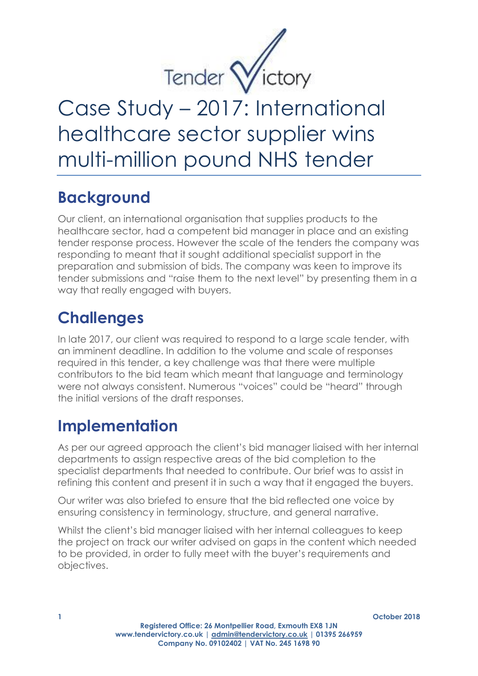

# Case Study – 2017: International healthcare sector supplier wins multi-million pound NHS tender

## **Background**

Our client, an international organisation that supplies products to the healthcare sector, had a competent bid manager in place and an existing tender response process. However the scale of the tenders the company was responding to meant that it sought additional specialist support in the preparation and submission of bids. The company was keen to improve its tender submissions and "raise them to the next level" by presenting them in a way that really engaged with buyers.

#### **Challenges**

In late 2017, our client was required to respond to a large scale tender, with an imminent deadline. In addition to the volume and scale of responses required in this tender, a key challenge was that there were multiple contributors to the bid team which meant that language and terminology were not always consistent. Numerous "voices" could be "heard" through the initial versions of the draft responses.

## **Implementation**

As per our agreed approach the client's bid manager liaised with her internal departments to assign respective areas of the bid completion to the specialist departments that needed to contribute. Our brief was to assist in refining this content and present it in such a way that it engaged the buyers.

Our writer was also briefed to ensure that the bid reflected one voice by ensuring consistency in terminology, structure, and general narrative.

Whilst the client's bid manager liaised with her internal colleagues to keep the project on track our writer advised on gaps in the content which needed to be provided, in order to fully meet with the buyer's requirements and objectives.